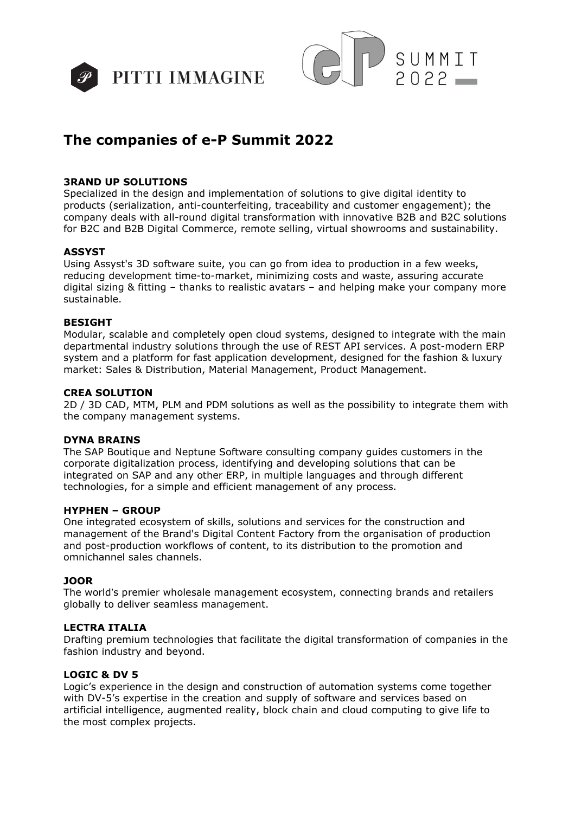



# **The companies of e-P Summit 2022**

## **3RAND UP SOLUTIONS**

Specialized in the design and implementation of solutions to give digital identity to products (serialization, anti-counterfeiting, traceability and customer engagement); the company deals with all-round digital transformation with innovative B2B and B2C solutions for B2C and B2B Digital Commerce, remote selling, virtual showrooms and sustainability.

## **ASSYST**

Using Assyst's 3D software suite, you can go from idea to production in a few weeks, reducing development time-to-market, minimizing costs and waste, assuring accurate digital sizing & fitting – thanks to realistic avatars – and helping make your company more sustainable.

## **BESIGHT**

Modular, scalable and completely open cloud systems, designed to integrate with the main departmental industry solutions through the use of REST API services. A post-modern ERP system and a platform for fast application development, designed for the fashion & luxury market: Sales & Distribution, Material Management, Product Management.

#### **CREA SOLUTION**

2D / 3D CAD, MTM, PLM and PDM solutions as well as the possibility to integrate them with the company management systems.

## **DYNA BRAINS**

The SAP Boutique and Neptune Software consulting company guides customers in the corporate digitalization process, identifying and developing solutions that can be integrated on SAP and any other ERP, in multiple languages and through different technologies, for a simple and efficient management of any process.

## **HYPHEN – GROUP**

One integrated ecosystem of skills, solutions and services for the construction and management of the Brand's Digital Content Factory from the organisation of production and post-production workflows of content, to its distribution to the promotion and omnichannel sales channels.

## **JOOR**

The world's premier wholesale management ecosystem, connecting brands and retailers globally to deliver seamless management.

## **LECTRA ITALIA**

Drafting premium technologies that facilitate the digital transformation of companies in the fashion industry and beyond.

## **LOGIC & DV 5**

Logic's experience in the design and construction of automation systems come together with DV-5's expertise in the creation and supply of software and services based on artificial intelligence, augmented reality, block chain and cloud computing to give life to the most complex projects.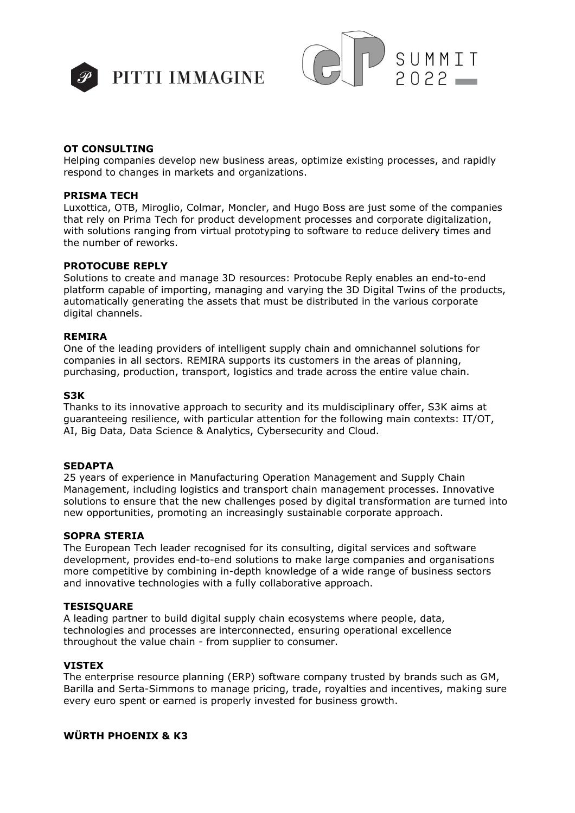



## **OT CONSULTING**

Helping companies develop new business areas, optimize existing processes, and rapidly respond to changes in markets and organizations.

#### **PRISMA TECH**

Luxottica, OTB, Miroglio, Colmar, Moncler, and Hugo Boss are just some of the companies that rely on Prima Tech for product development processes and corporate digitalization, with solutions ranging from virtual prototyping to software to reduce delivery times and the number of reworks.

#### **PROTOCUBE REPLY**

Solutions to create and manage 3D resources: Protocube Reply enables an end-to-end platform capable of importing, managing and varying the 3D Digital Twins of the products, automatically generating the assets that must be distributed in the various corporate digital channels.

#### **REMIRA**

One of the leading providers of intelligent supply chain and omnichannel solutions for companies in all sectors. REMIRA supports its customers in the areas of planning, purchasing, production, transport, logistics and trade across the entire value chain.

#### **S3K**

Thanks to its innovative approach to security and its muldisciplinary offer, S3K aims at guaranteeing resilience, with particular attention for the following main contexts: IT/OT, AI, Big Data, Data Science & Analytics, Cybersecurity and Cloud.

#### **SEDAPTA**

25 years of experience in Manufacturing Operation Management and Supply Chain Management, including logistics and transport chain management processes. Innovative solutions to ensure that the new challenges posed by digital transformation are turned into new opportunities, promoting an increasingly sustainable corporate approach.

## **SOPRA STERIA**

The European Tech leader recognised for its consulting, digital services and software development, provides end-to-end solutions to make large companies and organisations more competitive by combining in-depth knowledge of a wide range of business sectors and innovative technologies with a fully collaborative approach.

## **TESISQUARE**

A leading partner to build digital supply chain ecosystems where people, data, technologies and processes are interconnected, ensuring operational excellence throughout the value chain - from supplier to consumer.

## **VISTEX**

The enterprise resource planning (ERP) software company trusted by brands such as GM, Barilla and Serta-Simmons to manage pricing, trade, royalties and incentives, making sure every euro spent or earned is properly invested for business growth.

# **WÜRTH PHOENIX & K3**